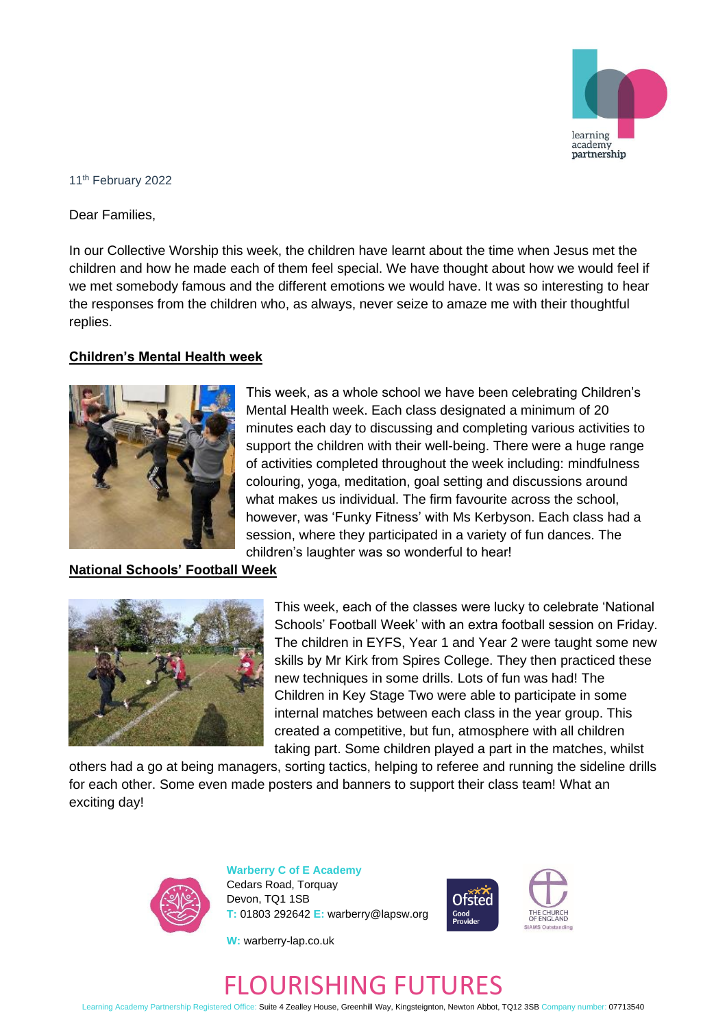

#### 11th February 2022

Dear Families,

In our Collective Worship this week, the children have learnt about the time when Jesus met the children and how he made each of them feel special. We have thought about how we would feel if we met somebody famous and the different emotions we would have. It was so interesting to hear the responses from the children who, as always, never seize to amaze me with their thoughtful replies.

### **Children's Mental Health week**



This week, as a whole school we have been celebrating Children's Mental Health week. Each class designated a minimum of 20 minutes each day to discussing and completing various activities to support the children with their well-being. There were a huge range of activities completed throughout the week including: mindfulness colouring, yoga, meditation, goal setting and discussions around what makes us individual. The firm favourite across the school, however, was 'Funky Fitness' with Ms Kerbyson. Each class had a session, where they participated in a variety of fun dances. The children's laughter was so wonderful to hear!

### **National Schools' Football Week**



This week, each of the classes were lucky to celebrate 'National Schools' Football Week' with an extra football session on Friday. The children in EYFS, Year 1 and Year 2 were taught some new skills by Mr Kirk from Spires College. They then practiced these new techniques in some drills. Lots of fun was had! The Children in Key Stage Two were able to participate in some internal matches between each class in the year group. This created a competitive, but fun, atmosphere with all children taking part. Some children played a part in the matches, whilst

others had a go at being managers, sorting tactics, helping to referee and running the sideline drills for each other. Some even made posters and banners to support their class team! What an exciting day!



**Warberry C of E Academy** Cedars Road, Torquay Devon, TQ1 1SB **T:** 01803 292642 **E:** warberry@lapsw.org



**W:** warberry-lap.co.uk

# FLOURISHING FUTURES

Learning Academy Partnership Registered Office: Suite 4 Zealley House, Greenhill Way, Kingsteignton, Newton Abbot, TQ12 3SB Company number: 07713540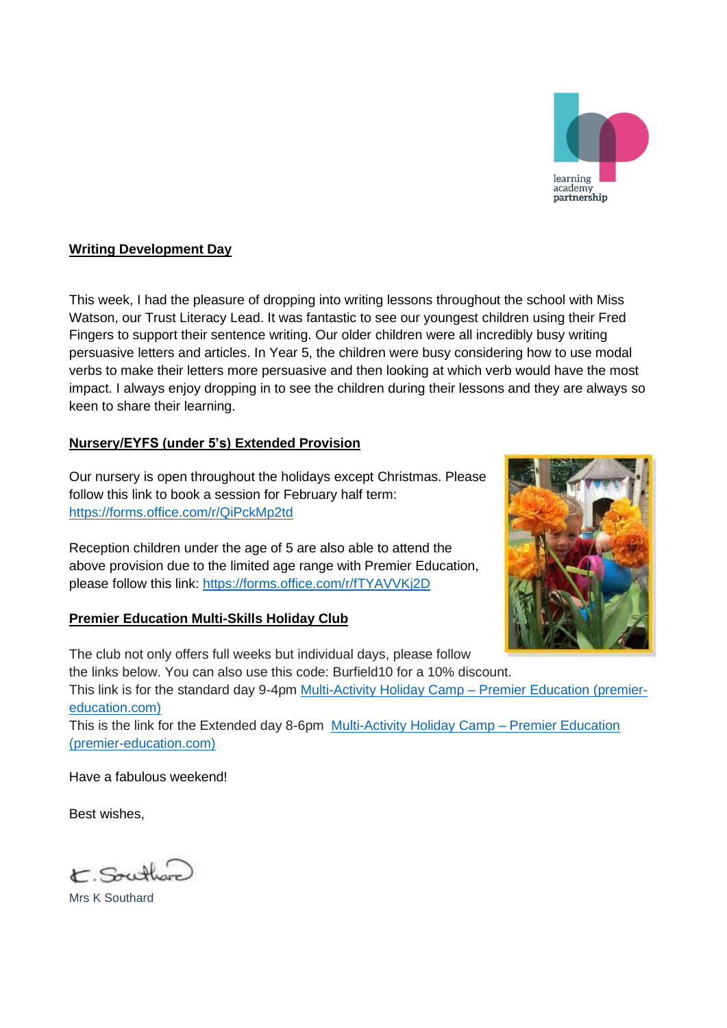

## **Writing Development Day**

This week, I had the pleasure of dropping into writing lessons throughout the school with Miss Watson, our Trust Literacy Lead. It was fantastic to see our youngest children using their Fred Fingers to support their sentence writing. Our older children were all incredibly busy writing persuasive letters and articles. In Year 5, the children were busy considering how to use modal verbs to make their letters more persuasive and then looking at which verb would have the most impact. I always enjoy dropping in to see the children during their lessons and they are always so keen to share their learning.

## **Nursery/EYFS (under 5's) Extended Provision**

Our nursery is open throughout the holidays except Christmas. Please follow this link to book a session for February half term: <https://forms.office.com/r/QiPckMp2td>

Reception children under the age of 5 are also able to attend the above provision due to the limited age range with Premier Education, please follow this link:<https://forms.office.com/r/fTYAVVKj2D>

## **Premier Education Multi-Skills Holiday Club**



The club not only offers full weeks but individual days, please follow the links below. You can also use this code: Burfield10 for a 10% discount. This link is for the standard day 9-4pm [Multi-Activity Holiday Camp –](https://www.premier-education.com/parents/venue/courses/11137-744155/?back=1&radius=10&location=warberry&search=camps) Premier Education (premier[education.com\)](https://www.premier-education.com/parents/venue/courses/11137-744155/?back=1&radius=10&location=warberry&search=camps) This is the link for the Extended day 8-6pm [Multi-Activity Holiday Camp –](https://www.premier-education.com/parents/venue/courses/11137-744159/?back=1&radius=10&location=warberry&search=camps) Premier Education

Have a fabulous weekend!

[\(premier-education.com\)](https://www.premier-education.com/parents/venue/courses/11137-744159/?back=1&radius=10&location=warberry&search=camps)

Best wishes,

E. South

Mrs K Southard